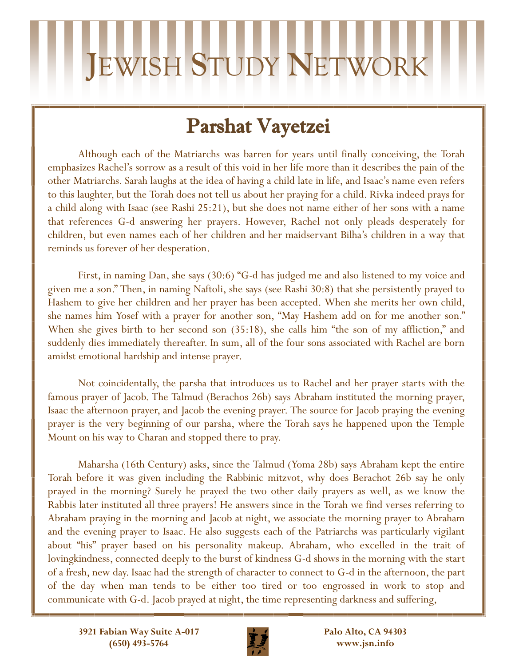## **J**EWISH **S**TUDY **N**ETWORK

### Parshat Vayetzei

Although each of the Matriarchs was barren for years until finally conceiving, the Torah emphasizes Rachel's sorrow as a result of this void in her life more than it describes the pain of the other Matriarchs. Sarah laughs at the idea of having a child late in life, and Isaac's name even refers to this laughter, but the Torah does not tell us about her praying for a child. Rivka indeed prays for a child along with Isaac (see Rashi 25:21), but she does not name either of her sons with a name that references G-d answering her prayers. However, Rachel not only pleads desperately for children, but even names each of her children and her maidservant Bilha's children in a way that reminds us forever of her desperation.

First, in naming Dan, she says (30:6) "G-d has judged me and also listened to my voice and given me a son." Then, in naming Naftoli, she says (see Rashi 30:8) that she persistently prayed to Hashem to give her children and her prayer has been accepted. When she merits her own child, she names him Yosef with a prayer for another son, "May Hashem add on for me another son." When she gives birth to her second son  $(35:18)$ , she calls him "the son of my affliction," and suddenly dies immediately thereafter. In sum, all of the four sons associated with Rachel are born amidst emotional hardship and intense prayer.

Not coincidentally, the parsha that introduces us to Rachel and her prayer starts with the famous prayer of Jacob. The Talmud (Berachos 26b) says Abraham instituted the morning prayer, Isaac the afternoon prayer, and Jacob the evening prayer. The source for Jacob praying the evening prayer is the very beginning of our parsha, where the Torah says he happened upon the Temple Mount on his way to Charan and stopped there to pray.

Maharsha (16th Century) asks, since the Talmud (Yoma 28b) says Abraham kept the entire Torah before it was given including the Rabbinic mitzvot, why does Berachot 26b say he only prayed in the morning? Surely he prayed the two other daily prayers as well, as we know the Rabbis later instituted all three prayers! He answers since in the Torah we find verses referring to Abraham praying in the morning and Jacob at night, we associate the morning prayer to Abraham and the evening prayer to Isaac. He also suggests each of the Patriarchs was particularly vigilant about "his" prayer based on his personality makeup. Abraham, who excelled in the trait of lovingkindness, connected deeply to the burst of kindness G-d shows in the morning with the start of a fresh, new day. Isaac had the strength of character to connect to G-d in the afternoon, the part of the day when man tends to be either too tired or too engrossed in work to stop and communicate with G-d. Jacob prayed at night, the time representing darkness and suffering,



**Palo Alto, CA 94303 www.jsn.info**